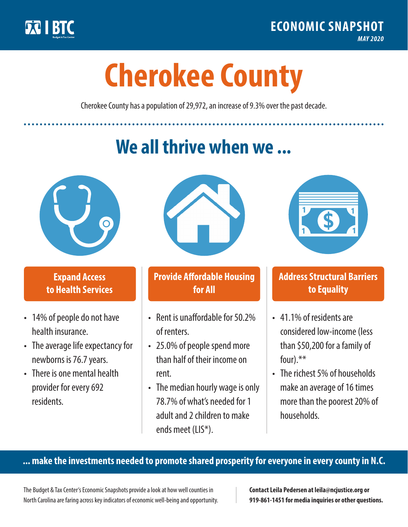

**1**

# **Cherokee County**

Cherokee County has a population of 29,972, an increase of 9.3% over the past decade.

# **We all thrive when we ...**



**\$ <sup>1</sup>**

**\$ <sup>1</sup>**

## **Expand Access to Health Services**

- 14% of people do not have health insurance.
- The average life expectancy for newborns is 76.7 years.
- There is one mental health provider for every 692 residents.



## **Provide Affordable Housing for All**

- Rent is unaffordable for 50 2% of renters.
- 25.0% of people spend more than half of their income on rent.
- The median hourly wage is only 78.7% of what's needed for 1 adult and 2 children to make ends meet (LIS\*).



## **Address Structural Barriers to Equality**

- 41.1% of residents are considered low-income (less than \$50,200 for a family of four).\*\*
- The richest 5% of households make an average of 16 times more than the poorest 20% of households.

#### **... make the investments needed to promote shared prosperity for everyone in every county in N.C.**

The Budget & Tax Center's Economic Snapshots provide a look at how well counties in North Carolina are faring across key indicators of economic well-being and opportunity.